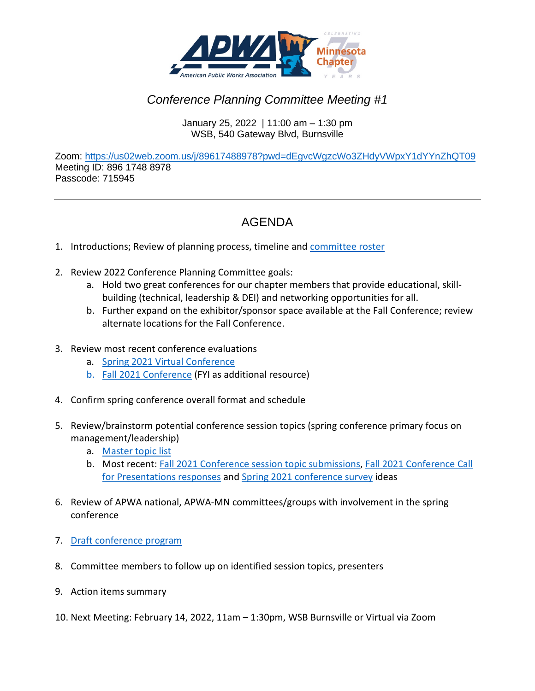

## *Conference Planning Committee Meeting #1*

January 25, 2022 | 11:00 am – 1:30 pm WSB, 540 Gateway Blvd, Burnsville

Zoom:<https://us02web.zoom.us/j/89617488978?pwd=dEgvcWgzcWo3ZHdyVWpxY1dYYnZhQT09> Meeting ID: 896 1748 8978 Passcode: 715945

## AGENDA

- 1. Introductions; Review of planning process, timeline and [committee roster](http://www.apwa-mn.org/membership/Committees/40)
- 2. Review 2022 Conference Planning Committee goals:
	- a. Hold two great conferences for our chapter members that provide educational, skillbuilding (technical, leadership & DEI) and networking opportunities for all.
	- b. Further expand on the exhibitor/sponsor space available at the Fall Conference; review alternate locations for the Fall Conference.
- 3. Review most recent conference evaluations
	- a. [Spring 2021 Virtual Conference](https://1drv.ms/b/s!ArvesV_Xvo95lyrCyGhTQNu2MFty?e=0dLXs3)
	- b. [Fall 2021 Conference](https://bit.ly/3lI3urQ) (FYI as additional resource)
- 4. Confirm spring conference overall format and schedule
- 5. Review/brainstorm potential conference session topics (spring conference primary focus on management/leadership)
	- a. [Master topic list](https://1drv.ms/x/s!ArvesV_Xvo95lj9Xz-iGUOA8xN6q?e=elSvcH)
	- b. Most recent: [Fall 2021 Conference session topic submissions,](https://1drv.ms/w/s!ArvesV_Xvo95p2CTo7nnkDOiHEpB?e=TCsTmw) [Fall 2021 Conference Call](https://1drv.ms/x/s!ArvesV_Xvo95lwt84x36G7U26D5g?e=rBndOn)  [for Presentations responses](https://1drv.ms/x/s!ArvesV_Xvo95lwt84x36G7U26D5g?e=rBndOn) an[d Spring 2021 conference survey](https://onedrive.live.com/?authkey=%21AGafsayTFVjBIpw&cid=798FBED75FB1DEBB&id=798FBED75FB1DEBB%212873&parId=798FBED75FB1DEBB%21546&o=OneUp) ideas
- 6. Review of APWA national, APWA-MN committees/groups with involvement in the spring conference
- 7. [Draft conference program](https://1drv.ms/w/s!ArvesV_Xvo95p2ZQH4qsapzsK2lD?e=FwkFkJ)
- 8. Committee members to follow up on identified session topics, presenters
- 9. Action items summary
- 10. Next Meeting: February 14, 2022, 11am 1:30pm, WSB Burnsville or Virtual via Zoom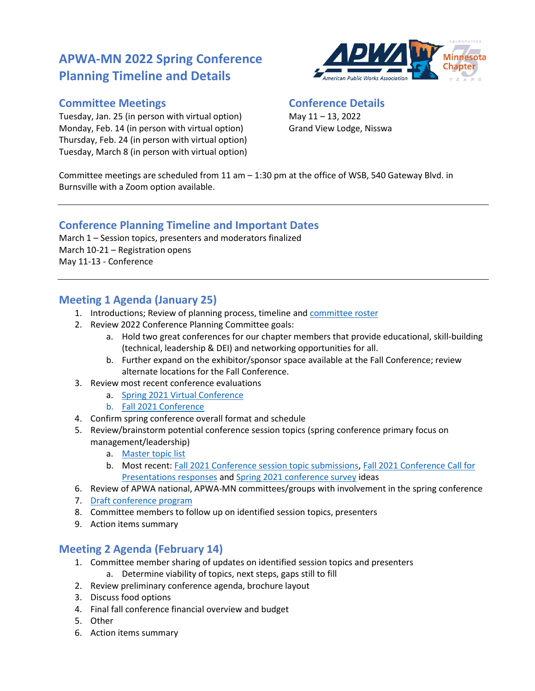# **APWA-MN 2022 Spring Conference Planning Timeline and Details**

#### **Committee Meetings**

Tuesday, Jan. 25 (in person with virtual option) Monday, Feb. 14 (in person with virtual option) Thursday, Feb. 24 (in person with virtual option) Tuesday, March 8 (in person with virtual option)



#### **Conference Details**

May 11 – 13, 2022 Grand View Lodge, Nisswa

Committee meetings are scheduled from 11 am – 1:30 pm at the office of WSB, 540 Gateway Blvd. in Burnsville with a Zoom option available.

### **Conference Planning Timeline and Important Dates**

March 1 – Session topics, presenters and moderators finalized March 10-21 – Registration opens May 11-13 - Conference

### **Meeting 1 Agenda (January 25)**

- 1. Introductions; Review of planning process, timeline an[d committee roster](http://www.apwa-mn.org/membership/Committees/40)
- 2. Review 2022 Conference Planning Committee goals:
	- a. Hold two great conferences for our chapter members that provide educational, skill-building (technical, leadership & DEI) and networking opportunities for all.
	- b. Further expand on the exhibitor/sponsor space available at the Fall Conference; review alternate locations for the Fall Conference.
- 3. Review most recent conference evaluations
	- a. Spring 2021 [Virtual Conference](https://1drv.ms/b/s!ArvesV_Xvo95lyrCyGhTQNu2MFty?e=0dLXs3)
	- b. [Fall 2021 Conference](https://bit.ly/3lI3urQ)
- 4. Confirm spring conference overall format and schedule
- 5. Review/brainstorm potential conference session topics (spring conference primary focus on management/leadership)
	- a. [Master topic list](https://1drv.ms/x/s!ArvesV_Xvo95lj9Xz-iGUOA8xN6q?e=elSvcH)
	- b. Most recent: [Fall 2021 Conference session topic submissions,](https://1drv.ms/w/s!ArvesV_Xvo95p2CTo7nnkDOiHEpB?e=TCsTmw) [Fall 2021 Conference Call for](https://1drv.ms/x/s!ArvesV_Xvo95lwt84x36G7U26D5g?e=rBndOn)  [Presentations](https://1drv.ms/x/s!ArvesV_Xvo95lwt84x36G7U26D5g?e=rBndOn) responses an[d Spring 2021 conference survey](https://onedrive.live.com/?authkey=%21AGafsayTFVjBIpw&cid=798FBED75FB1DEBB&id=798FBED75FB1DEBB%212873&parId=798FBED75FB1DEBB%21546&o=OneUp) ideas
- 6. Review of APWA national, APWA-MN committees/groups with involvement in the spring conference
- 7. [Draft conference program](https://1drv.ms/w/s!ArvesV_Xvo95p2ZQH4qsapzsK2lD?e=FwkFkJ)
- 8. Committee members to follow up on identified session topics, presenters
- 9. Action items summary

### **Meeting 2 Agenda (February 14)**

- 1. Committee member sharing of updates on identified session topics and presenters
	- a. Determine viability of topics, next steps, gaps still to fill
- 2. Review preliminary conference agenda, brochure layout
- 3. Discuss food options
- 4. Final fall conference financial overview and budget
- 5. Other
- 6. Action items summary